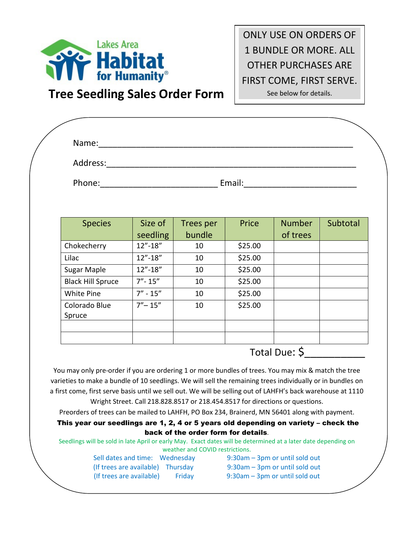

# **Tree Seedling Sales Order Form**

ONLY USE ON ORDERS OF 1 BUNDLE OR MORE. ALL OTHER PURCHASES ARE FIRST COME, FIRST SERVE. See below for details.

| Address:                 |                                                                                                                                                                                                                                |                  |         |               |          |
|--------------------------|--------------------------------------------------------------------------------------------------------------------------------------------------------------------------------------------------------------------------------|------------------|---------|---------------|----------|
|                          |                                                                                                                                                                                                                                |                  |         |               |          |
|                          | Email: Email: Email: Email: Email: Email: Email: Email: Email: Email: Email: Email: Email: Email: Email: Email: Email: Email: Email: Email: Email: Email: Email: Email: Email: Email: Email: Email: Email: Email: Email: Email |                  |         |               |          |
|                          |                                                                                                                                                                                                                                |                  |         |               |          |
|                          |                                                                                                                                                                                                                                |                  |         |               |          |
| <b>Species</b>           | Size of                                                                                                                                                                                                                        | <b>Trees per</b> | Price   | <b>Number</b> | Subtotal |
|                          | seedling                                                                                                                                                                                                                       | bundle           |         | of trees      |          |
| Chokecherry              | $12" - 18"$                                                                                                                                                                                                                    | 10               | \$25.00 |               |          |
| Lilac                    | $12 - 18$                                                                                                                                                                                                                      | 10               | \$25.00 |               |          |
| <b>Sugar Maple</b>       | $12 - 18$                                                                                                                                                                                                                      | 10               | \$25.00 |               |          |
| <b>Black Hill Spruce</b> | $7'' - 15''$                                                                                                                                                                                                                   | 10               | \$25.00 |               |          |
| White Pine               | $7'' - 15''$                                                                                                                                                                                                                   | 10               | \$25.00 |               |          |
| Colorado Blue            | $7'' - 15''$                                                                                                                                                                                                                   | 10               | \$25.00 |               |          |
| Spruce                   |                                                                                                                                                                                                                                |                  |         |               |          |
|                          |                                                                                                                                                                                                                                |                  |         |               |          |
|                          |                                                                                                                                                                                                                                |                  |         |               |          |
|                          |                                                                                                                                                                                                                                |                  |         |               |          |

You may only pre-order if you are ordering 1 or more bundles of trees. You may mix & match the tree varieties to make a bundle of 10 seedlings. We will sell the remaining trees individually or in bundles on a first come, first serve basis until we sell out. We will be selling out of LAHFH's back warehouse at 1110

Wright Street. Call 218.828.8517 or 218.454.8517 for directions or questions. Preorders of trees can be mailed to LAHFH, PO Box 234, Brainerd, MN 56401 along with payment.

## This year our seedlings are 1, 2, 4 or 5 years old depending on variety – check the back of the order form for details.

Seedlings will be sold in late April or early May. Exact dates will be determined at a later date depending on weather and COVID restrictions.

| Sell dates and time: Wednesday    |        | 9:30am - 3pm or until sold out |
|-----------------------------------|--------|--------------------------------|
| (If trees are available) Thursday |        | 9:30am - 3pm or until sold out |
| (If trees are available)          | Fridav | 9:30am - 3pm or until sold out |